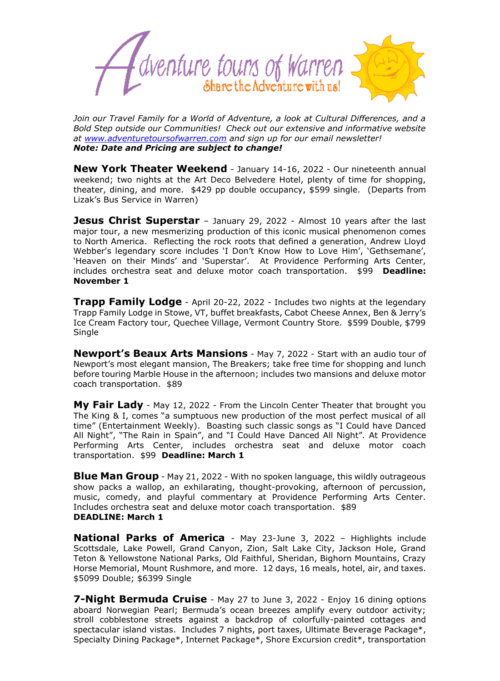

*Join our Travel Family for a World of Adventure, a look at Cultural Differences, and a Bold Step outside our Communities! Check out our extensive and informative website at [www.adventuretoursofwarren.com](http://www.adventuretoursofwarren.com/) and sign up for our email newsletter! Note: Date and Pricing are subject to change!*

**New York Theater Weekend** - January 14-16, 2022 - Our nineteenth annual weekend; two nights at the Art Deco Belvedere Hotel, plenty of time for shopping, theater, dining, and more. \$429 pp double occupancy, \$599 single. (Departs from Lizak's Bus Service in Warren)

**Jesus Christ Superstar** - January 29, 2022 - Almost 10 years after the last major tour, a new mesmerizing production of this iconic musical phenomenon comes to North America. Reflecting the rock roots that defined a generation, Andrew Lloyd Webber's legendary score includes 'I Don't Know How to Love Him', 'Gethsemane', 'Heaven on their Minds' and 'Superstar'. At Providence Performing Arts Center, includes orchestra seat and deluxe motor coach transportation. \$99 **Deadline: November 1**

**Trapp Family Lodge** - April 20-22, 2022 - Includes two nights at the legendary Trapp Family Lodge in Stowe, VT, buffet breakfasts, Cabot Cheese Annex, Ben & Jerry's Ice Cream Factory tour, Quechee Village, Vermont Country Store. \$599 Double, \$799 Single

**Newport's Beaux Arts Mansions** - May 7, 2022 - Start with an audio tour of Newport's most elegant mansion, The Breakers; take free time for shopping and lunch before touring Marble House in the afternoon; includes two mansions and deluxe motor coach transportation. \$89

**My Fair Lady** - May 12, 2022 - From the Lincoln Center Theater that brought you The King & I, comes "a sumptuous new production of the most perfect musical of all time" (Entertainment Weekly). Boasting such classic songs as "I Could have Danced All Night", "The Rain in Spain", and "I Could Have Danced All Night". At Providence Performing Arts Center, includes orchestra seat and deluxe motor coach transportation. \$99 **Deadline: March 1**

**Blue Man Group** - May 21, 2022 - With no spoken language, this wildly outrageous show packs a wallop, an exhilarating, thought-provoking, afternoon of percussion, music, comedy, and playful commentary at Providence Performing Arts Center. Includes orchestra seat and deluxe motor coach transportation. \$89 **DEADLINE: March 1**

**National Parks of America** - May 23-June 3, 2022 – Highlights include Scottsdale, Lake Powell, Grand Canyon, Zion, Salt Lake City, Jackson Hole, Grand Teton & Yellowstone National Parks, Old Faithful, Sheridan, Bighorn Mountains, Crazy Horse Memorial, Mount Rushmore, and more. 12 days, 16 meals, hotel, air, and taxes. \$5099 Double; \$6399 Single

**7-Night Bermuda Cruise** - May 27 to June 3, 2022 - Enjoy 16 dining options aboard Norwegian Pearl; Bermuda's ocean breezes amplify every outdoor activity; stroll cobblestone streets against a backdrop of colorfully-painted cottages and spectacular island vistas. Includes 7 nights, port taxes, Ultimate Beverage Package\*, Specialty Dining Package\*, Internet Package\*, Shore Excursion credit\*, transportation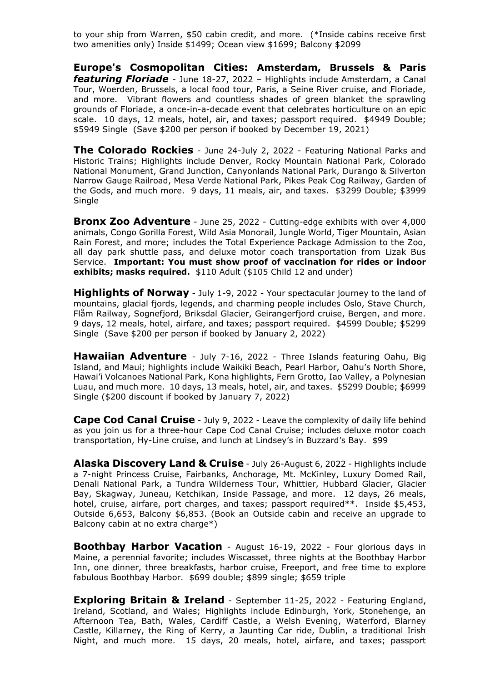to your ship from Warren, \$50 cabin credit, and more. (\*Inside cabins receive first two amenities only) Inside \$1499; Ocean view \$1699; Balcony \$2099

**Europe's Cosmopolitan Cities: Amsterdam, Brussels & Paris**  *featuring Floriade* - June 18-27, 2022 – Highlights include Amsterdam, a Canal Tour, Woerden, Brussels, a local food tour, Paris, a Seine River cruise, and Floriade, and more. Vibrant flowers and countless shades of green blanket the sprawling grounds of Floriade, a once-in-a-decade event that celebrates horticulture on an epic scale. 10 days, 12 meals, hotel, air, and taxes; passport required. \$4949 Double; \$5949 Single (Save \$200 per person if booked by December 19, 2021)

**The Colorado Rockies** - June 24-July 2, 2022 - Featuring National Parks and Historic Trains; Highlights include Denver, Rocky Mountain National Park, Colorado National Monument, Grand Junction, Canyonlands National Park, Durango & Silverton Narrow Gauge Railroad, Mesa Verde National Park, Pikes Peak Cog Railway, Garden of the Gods, and much more. 9 days, 11 meals, air, and taxes. \$3299 Double; \$3999 Single

**Bronx Zoo Adventure** - June 25, 2022 - Cutting-edge exhibits with over 4,000 animals, Congo Gorilla Forest, Wild Asia Monorail, Jungle World, Tiger Mountain, Asian Rain Forest, and more; includes the Total Experience Package Admission to the Zoo, all day park shuttle pass, and deluxe motor coach transportation from Lizak Bus Service. **Important: You must show proof of vaccination for rides or indoor exhibits; masks required.** \$110 Adult (\$105 Child 12 and under)

**Highlights of Norway** - July 1-9, 2022 - Your spectacular journey to the land of mountains, glacial fjords, legends, and charming people includes Oslo, Stave Church, Flåm Railway, Sognefjord, Briksdal Glacier, Geirangerfjord cruise, Bergen, and more. 9 days, 12 meals, hotel, airfare, and taxes; passport required. \$4599 Double; \$5299 Single (Save \$200 per person if booked by January 2, 2022)

**Hawaiian Adventure** - July 7-16, 2022 - Three Islands featuring Oahu, Big Island, and Maui; highlights include Waikiki Beach, Pearl Harbor, Oahu's North Shore, Hawai'i Volcanoes National Park, Kona highlights, Fern Grotto, Iao Valley, a Polynesian Luau, and much more. 10 days, 13 meals, hotel, air, and taxes. \$5299 Double; \$6999 Single (\$200 discount if booked by January 7, 2022)

**Cape Cod Canal Cruise** - July 9, 2022 - Leave the complexity of daily life behind as you join us for a three-hour Cape Cod Canal Cruise; includes deluxe motor coach transportation, Hy-Line cruise, and lunch at Lindsey's in Buzzard's Bay. \$99

**Alaska Discovery Land & Cruise** - July 26-August 6, 2022 - Highlights include a 7-night Princess Cruise, Fairbanks, Anchorage, Mt. McKinley, Luxury Domed Rail, Denali National Park, a Tundra Wilderness Tour, Whittier, Hubbard Glacier, Glacier Bay, Skagway, Juneau, Ketchikan, Inside Passage, and more. 12 days, 26 meals, hotel, cruise, airfare, port charges, and taxes; passport required\*\*. Inside \$5,453, Outside 6,653, Balcony \$6,853. (Book an Outside cabin and receive an upgrade to Balcony cabin at no extra charge\*)

**Boothbay Harbor Vacation** - August 16-19, 2022 - Four glorious days in Maine, a perennial favorite; includes Wiscasset, three nights at the Boothbay Harbor Inn, one dinner, three breakfasts, harbor cruise, Freeport, and free time to explore fabulous Boothbay Harbor. \$699 double; \$899 single; \$659 triple

**Exploring Britain & Ireland** - September 11-25, 2022 - Featuring England, Ireland, Scotland, and Wales; Highlights include Edinburgh, York, Stonehenge, an Afternoon Tea, Bath, Wales, Cardiff Castle, a Welsh Evening, Waterford, Blarney Castle, Killarney, the Ring of Kerry, a Jaunting Car ride, Dublin, a traditional Irish Night, and much more. 15 days, 20 meals, hotel, airfare, and taxes; passport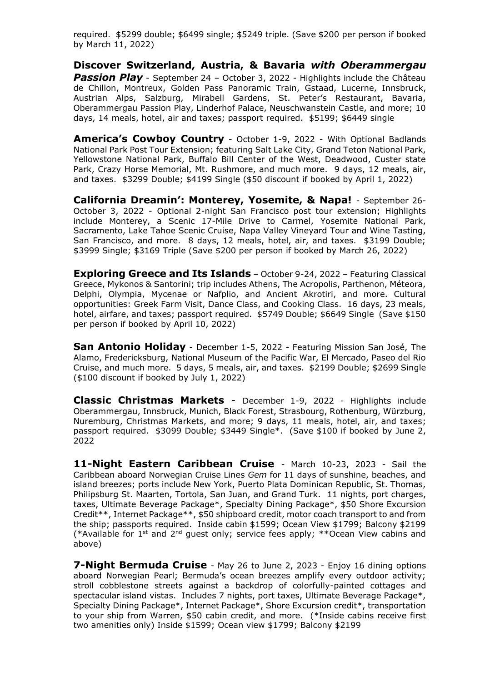required. \$5299 double; \$6499 single; \$5249 triple. (Save \$200 per person if booked by March 11, 2022)

**Discover Switzerland, Austria, & Bavaria** *with Oberammergau*  **Passion Play** - September 24 - October 3, 2022 - Highlights include the Château de Chillon, Montreux, Golden Pass Panoramic Train, Gstaad, Lucerne, Innsbruck, Austrian Alps, Salzburg, Mirabell Gardens, St. Peter's Restaurant, Bavaria, Oberammergau Passion Play, Linderhof Palace, Neuschwanstein Castle, and more; 10 days, 14 meals, hotel, air and taxes; passport required. \$5199; \$6449 single

**America's Cowboy Country** - October 1-9, 2022 - With Optional Badlands National Park Post Tour Extension; featuring Salt Lake City, Grand Teton National Park, Yellowstone National Park, Buffalo Bill Center of the West, Deadwood, Custer state Park, Crazy Horse Memorial, Mt. Rushmore, and much more. 9 days, 12 meals, air, and taxes. \$3299 Double; \$4199 Single (\$50 discount if booked by April 1, 2022)

**California Dreamin': Monterey, Yosemite, & Napa!** - September 26- October 3, 2022 - Optional 2-night San Francisco post tour extension; Highlights include Monterey, a Scenic 17-Mile Drive to Carmel, Yosemite National Park, Sacramento, Lake Tahoe Scenic Cruise, Napa Valley Vineyard Tour and Wine Tasting, San Francisco, and more. 8 days, 12 meals, hotel, air, and taxes. \$3199 Double; \$3999 Single; \$3169 Triple (Save \$200 per person if booked by March 26, 2022)

**Exploring Greece and Its Islands** – October 9-24, 2022 – Featuring Classical Greece, Mykonos & Santorini; trip includes Athens, The Acropolis, Parthenon, Méteora, Delphi, Olympia, Mycenae or Nafplio, and Ancient Akrotiri, and more. Cultural opportunities: Greek Farm Visit, Dance Class, and Cooking Class. 16 days, 23 meals, hotel, airfare, and taxes; passport required. \$5749 Double; \$6649 Single (Save \$150 per person if booked by April 10, 2022)

**San Antonio Holiday** - December 1-5, 2022 - Featuring Mission San José, The Alamo, Fredericksburg, National Museum of the Pacific War, El Mercado, Paseo del Rio Cruise, and much more. 5 days, 5 meals, air, and taxes. \$2199 Double; \$2699 Single (\$100 discount if booked by July 1, 2022)

**Classic Christmas Markets** - December 1-9, 2022 - Highlights include Oberammergau, Innsbruck, Munich, Black Forest, Strasbourg, Rothenburg, Würzburg, Nuremburg, Christmas Markets, and more; 9 days, 11 meals, hotel, air, and taxes; passport required. \$3099 Double; \$3449 Single\*. (Save \$100 if booked by June 2, 2022

**11-Night Eastern Caribbean Cruise** - March 10-23, 2023 - Sail the Caribbean aboard Norwegian Cruise Lines *Gem* for 11 days of sunshine, beaches, and island breezes; ports include New York, Puerto Plata Dominican Republic, St. Thomas, Philipsburg St. Maarten, Tortola, San Juan, and Grand Turk. 11 nights, port charges, taxes, Ultimate Beverage Package\*, Specialty Dining Package\*, \$50 Shore Excursion Credit\*\*, Internet Package\*\*, \$50 shipboard credit, motor coach transport to and from the ship; passports required. Inside cabin \$1599; Ocean View \$1799; Balcony \$2199 (\*Available for 1st and 2nd guest only; service fees apply; \*\*Ocean View cabins and above)

**7-Night Bermuda Cruise** - May 26 to June 2, 2023 - Enjoy 16 dining options aboard Norwegian Pearl; Bermuda's ocean breezes amplify every outdoor activity; stroll cobblestone streets against a backdrop of colorfully-painted cottages and spectacular island vistas. Includes 7 nights, port taxes, Ultimate Beverage Package\*, Specialty Dining Package\*, Internet Package\*, Shore Excursion credit\*, transportation to your ship from Warren, \$50 cabin credit, and more. (\*Inside cabins receive first two amenities only) Inside \$1599; Ocean view \$1799; Balcony \$2199